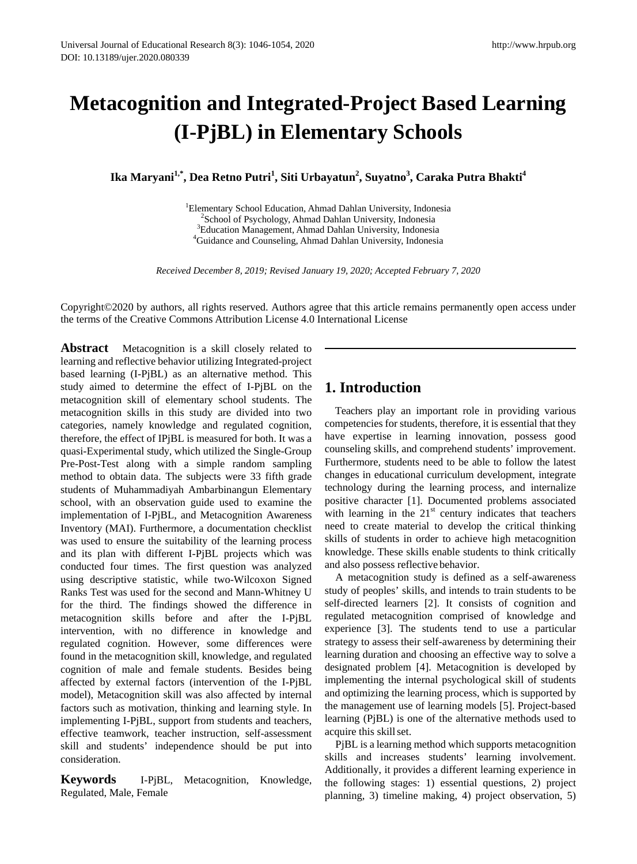# **Metacognition and Integrated-Project Based Learning (I-PjBL) in Elementary Schools**

 $\bold{I}$ ka Maryani $^{1, *}$ , Dea Retno Putri $^{1}$ , Siti Urbayatun $^{2}$ , Suyatno $^{3}$ , Caraka Putra Bhakti $^{4}$ 

<sup>1</sup>Elementary School Education, Ahmad Dahlan University, Indonesia<sup>2</sup>School of Psychology, Ahmad Dahlan University, Indonesia <sup>2</sup>School of Psychology, Ahmad Dahlan University, Indonesia <sup>3</sup>Education Management, Ahmad Dahlan University, Indonesia Guidance and Counseling, Ahmad Dahlan University, Indonesia

*Received December 8, 2019; Revised January 19, 2020; Accepted February 7, 2020*

Copyright©2020 by authors, all rights reserved. Authors agree that this article remains permanently open access under the terms of the Creative Commons Attribution License 4.0 International License

**Abstract** Metacognition is a skill closely related to learning and reflective behavior utilizing Integrated-project based learning (I-PjBL) as an alternative method. This study aimed to determine the effect of I-PjBL on the metacognition skill of elementary school students. The metacognition skills in this study are divided into two categories, namely knowledge and regulated cognition, therefore, the effect of IPjBL is measured for both. It was a quasi-Experimental study, which utilized the Single-Group Pre-Post-Test along with a simple random sampling method to obtain data. The subjects were 33 fifth grade students of Muhammadiyah Ambarbinangun Elementary school, with an observation guide used to examine the implementation of I-PjBL, and Metacognition Awareness Inventory (MAI). Furthermore, a documentation checklist was used to ensure the suitability of the learning process and its plan with different I-PjBL projects which was conducted four times. The first question was analyzed using descriptive statistic, while two-Wilcoxon Signed Ranks Test was used for the second and Mann-Whitney U for the third. The findings showed the difference in metacognition skills before and after the I-PjBL intervention, with no difference in knowledge and regulated cognition. However, some differences were found in the metacognition skill, knowledge, and regulated cognition of male and female students. Besides being affected by external factors (intervention of the I-PjBL model), Metacognition skill was also affected by internal factors such as motivation, thinking and learning style. In implementing I-PjBL, support from students and teachers, effective teamwork, teacher instruction, self-assessment skill and students' independence should be put into consideration.

**Keywords** I-PjBL, Metacognition, Knowledge, Regulated, Male, Female

# **1. Introduction**

Teachers play an important role in providing various competencies for students, therefore, it is essential that they have expertise in learning innovation, possess good counseling skills, and comprehend students' improvement. Furthermore, students need to be able to follow the latest changes in educational curriculum development, integrate technology during the learning process, and internalize positive character [1]. Documented problems associated with learning in the  $21<sup>st</sup>$  century indicates that teachers need to create material to develop the critical thinking skills of students in order to achieve high metacognition knowledge. These skills enable students to think critically and also possess reflective behavior.

A metacognition study is defined as a self-awareness study of peoples' skills, and intends to train students to be self-directed learners [2]. It consists of cognition and regulated metacognition comprised of knowledge and experience [3]. The students tend to use a particular strategy to assess their self-awareness by determining their learning duration and choosing an effective way to solve a designated problem [4]. Metacognition is developed by implementing the internal psychological skill of students and optimizing the learning process, which is supported by the management use of learning models [5]. Project-based learning (PjBL) is one of the alternative methods used to acquire this skillset.

PjBL is a learning method which supports metacognition skills and increases students' learning involvement. Additionally, it provides a different learning experience in the following stages: 1) essential questions, 2) project planning, 3) timeline making, 4) project observation, 5)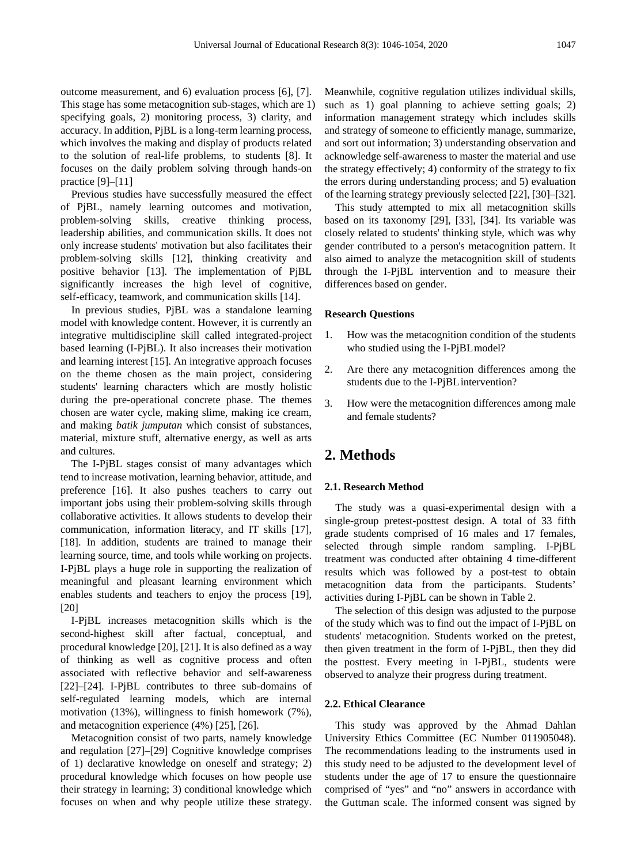outcome measurement, and 6) evaluation process [6], [7]. This stage has some metacognition sub-stages, which are 1) specifying goals, 2) monitoring process, 3) clarity, and accuracy. In addition, PjBL is a long-term learning process, which involves the making and display of products related to the solution of real-life problems, to students [8]. It focuses on the daily problem solving through hands-on practice [9]–[11]

Previous studies have successfully measured the effect of PjBL, namely learning outcomes and motivation, problem-solving skills, creative thinking process, leadership abilities, and communication skills. It does not only increase students' motivation but also facilitates their problem-solving skills [12], thinking creativity and positive behavior [13]. The implementation of PjBL significantly increases the high level of cognitive, self-efficacy, teamwork, and communication skills [14].

In previous studies, PjBL was a standalone learning model with knowledge content. However, it is currently an integrative multidiscipline skill called integrated-project based learning (I-PjBL). It also increases their motivation and learning interest [15]. An integrative approach focuses on the theme chosen as the main project, considering students' learning characters which are mostly holistic during the pre-operational concrete phase. The themes chosen are water cycle, making slime, making ice cream, and making *batik jumputan* which consist of substances, material, mixture stuff, alternative energy, as well as arts and cultures.

The I-PjBL stages consist of many advantages which tend to increase motivation, learning behavior, attitude, and preference [16]. It also pushes teachers to carry out important jobs using their problem-solving skills through collaborative activities. It allows students to develop their communication, information literacy, and IT skills [17], [18]. In addition, students are trained to manage their learning source, time, and tools while working on projects. I-PjBL plays a huge role in supporting the realization of meaningful and pleasant learning environment which enables students and teachers to enjoy the process [19], [20]

I-PjBL increases metacognition skills which is the second-highest skill after factual, conceptual, and procedural knowledge [20], [21]. It is also defined as a way of thinking as well as cognitive process and often associated with reflective behavior and self-awareness [22]–[24]. I-PjBL contributes to three sub-domains of self-regulated learning models, which are internal motivation (13%), willingness to finish homework (7%), and metacognition experience (4%) [25], [26].

Metacognition consist of two parts, namely knowledge and regulation [27]–[29] Cognitive knowledge comprises of 1) declarative knowledge on oneself and strategy; 2) procedural knowledge which focuses on how people use their strategy in learning; 3) conditional knowledge which focuses on when and why people utilize these strategy.

Meanwhile, cognitive regulation utilizes individual skills, such as 1) goal planning to achieve setting goals; 2) information management strategy which includes skills and strategy of someone to efficiently manage, summarize, and sort out information; 3) understanding observation and acknowledge self-awareness to master the material and use the strategy effectively; 4) conformity of the strategy to fix the errors during understanding process; and 5) evaluation of the learning strategy previously selected [22], [30]–[32].

This study attempted to mix all metacognition skills based on its taxonomy [29], [33], [34]. Its variable was closely related to students' thinking style, which was why gender contributed to a person's metacognition pattern. It also aimed to analyze the metacognition skill of students through the I-PjBL intervention and to measure their differences based on gender.

#### **Research Questions**

- 1. How was the metacognition condition of the students who studied using the I-PjBLmodel?
- 2. Are there any metacognition differences among the students due to the I-PjBLintervention?
- 3. How were the metacognition differences among male and female students?

## **2. Methods**

#### **2.1. Research Method**

The study was a quasi-experimental design with a single-group pretest-posttest design. A total of 33 fifth grade students comprised of 16 males and 17 females, selected through simple random sampling. I-PjBL treatment was conducted after obtaining 4 time-different results which was followed by a post-test to obtain metacognition data from the participants. Students' activities during I-PjBL can be shown in Table 2.

The selection of this design was adjusted to the purpose of the study which was to find out the impact of I-PjBL on students' metacognition. Students worked on the pretest, then given treatment in the form of I-PjBL, then they did the posttest. Every meeting in I-PjBL, students were observed to analyze their progress during treatment.

#### **2.2. Ethical Clearance**

This study was approved by the Ahmad Dahlan University Ethics Committee (EC Number 011905048). The recommendations leading to the instruments used in this study need to be adjusted to the development level of students under the age of 17 to ensure the questionnaire comprised of "yes" and "no" answers in accordance with the Guttman scale. The informed consent was signed by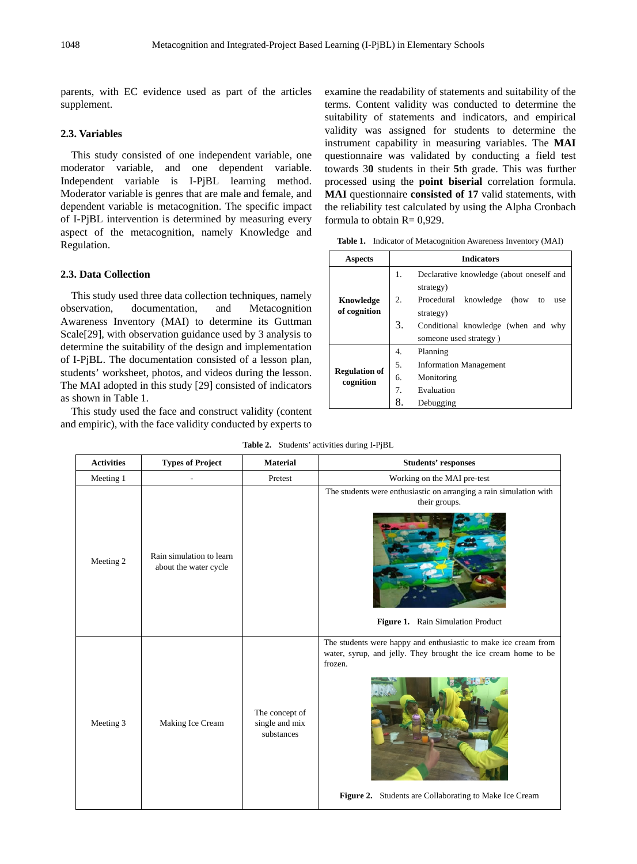parents, with EC evidence used as part of the articles supplement.

## **2.3. Variables**

This study consisted of one independent variable, one moderator variable, and one dependent variable. Independent variable is I-PjBL learning method. Moderator variable is genres that are male and female, and dependent variable is metacognition. The specific impact of I-PjBL intervention is determined by measuring every aspect of the metacognition, namely Knowledge and Regulation.

#### **2.3. Data Collection**

This study used three data collection techniques, namely observation, documentation, and Metacognition Awareness Inventory (MAI) to determine its Guttman Scale[29], with observation guidance used by 3 analysis to determine the suitability of the design and implementation of I-PjBL. The documentation consisted of a lesson plan, students' worksheet, photos, and videos during the lesson. The MAI adopted in this study [29] consisted of indicators as shown in Table 1.

This study used the face and construct validity (content and empiric), with the face validity conducted by experts to

examine the readability of statements and suitability of the terms. Content validity was conducted to determine the suitability of statements and indicators, and empirical validity was assigned for students to determine the instrument capability in measuring variables. The **MAI**  questionnaire was validated by conducting a field test towards 3**0** students in their **5**th grade. This was further processed using the **point biserial** correlation formula. **MAI** questionnaire **consisted of 17** valid statements, with the reliability test calculated by using the Alpha Cronbach formula to obtain  $R = 0.929$ .

**Table 1.** Indicator of Metacognition Awareness Inventory (MAI)

| <b>Aspects</b>                    | <b>Indicators</b> |                                               |  |  |  |
|-----------------------------------|-------------------|-----------------------------------------------|--|--|--|
|                                   | 1.                | Declarative knowledge (about oneself and      |  |  |  |
|                                   |                   | strategy)                                     |  |  |  |
| Knowledge<br>of cognition         | 2.                | Procedural<br>knowledge<br>(how)<br>to<br>use |  |  |  |
|                                   |                   | strategy)                                     |  |  |  |
|                                   | 3.                | Conditional knowledge (when and why           |  |  |  |
|                                   |                   | someone used strategy)                        |  |  |  |
| <b>Regulation of</b><br>cognition | 4.                | Planning                                      |  |  |  |
|                                   | 5.                | <b>Information Management</b>                 |  |  |  |
|                                   | 6.                | Monitoring                                    |  |  |  |
|                                   | 7.                | Evaluation                                    |  |  |  |
|                                   | 8.                | Debugging                                     |  |  |  |

**Table 2.** Students' activities during I-PjBL

| <b>Activities</b> | <b>Types of Project</b>                           | <b>Material</b>                                | <b>Students' responses</b>                                                                                                                                                                             |
|-------------------|---------------------------------------------------|------------------------------------------------|--------------------------------------------------------------------------------------------------------------------------------------------------------------------------------------------------------|
| Meeting 1         |                                                   | Pretest                                        | Working on the MAI pre-test                                                                                                                                                                            |
| Meeting 2         | Rain simulation to learn<br>about the water cycle |                                                | The students were enthusiastic on arranging a rain simulation with<br>their groups.<br>Figure 1. Rain Simulation Product                                                                               |
| Meeting 3         | Making Ice Cream                                  | The concept of<br>single and mix<br>substances | The students were happy and enthusiastic to make ice cream from<br>water, syrup, and jelly. They brought the ice cream home to be<br>frozen.<br>Figure 2. Students are Collaborating to Make Ice Cream |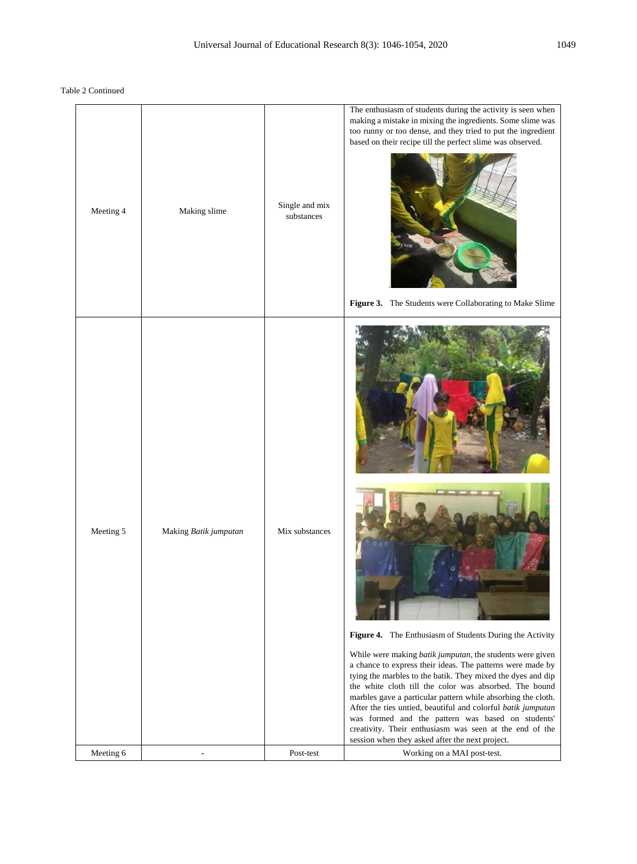## Table 2 Continued

| Meeting 4              | Making slime               | Single and mix<br>substances | The enthusiasm of students during the activity is seen when<br>making a mistake in mixing the ingredients. Some slime was<br>too runny or too dense, and they tried to put the ingredient<br>based on their recipe till the perfect slime was observed.<br>Figure 3. The Students were Collaborating to Make Slime                                                                                                                                                                                                                                                                                                                             |
|------------------------|----------------------------|------------------------------|------------------------------------------------------------------------------------------------------------------------------------------------------------------------------------------------------------------------------------------------------------------------------------------------------------------------------------------------------------------------------------------------------------------------------------------------------------------------------------------------------------------------------------------------------------------------------------------------------------------------------------------------|
| Meeting 5<br>Meeting 6 | Making Batik jumputan<br>- | Mix substances<br>Post-test  | Figure 4. The Enthusiasm of Students During the Activity<br>While were making batik jumputan, the students were given<br>a chance to express their ideas. The patterns were made by<br>tying the marbles to the batik. They mixed the dyes and dip<br>the white cloth till the color was absorbed. The bound<br>marbles gave a particular pattern while absorbing the cloth.<br>After the ties untied, beautiful and colorful batik jumputan<br>was formed and the pattern was based on students'<br>creativity. Their enthusiasm was seen at the end of the<br>session when they asked after the next project.<br>Working on a MAI post-test. |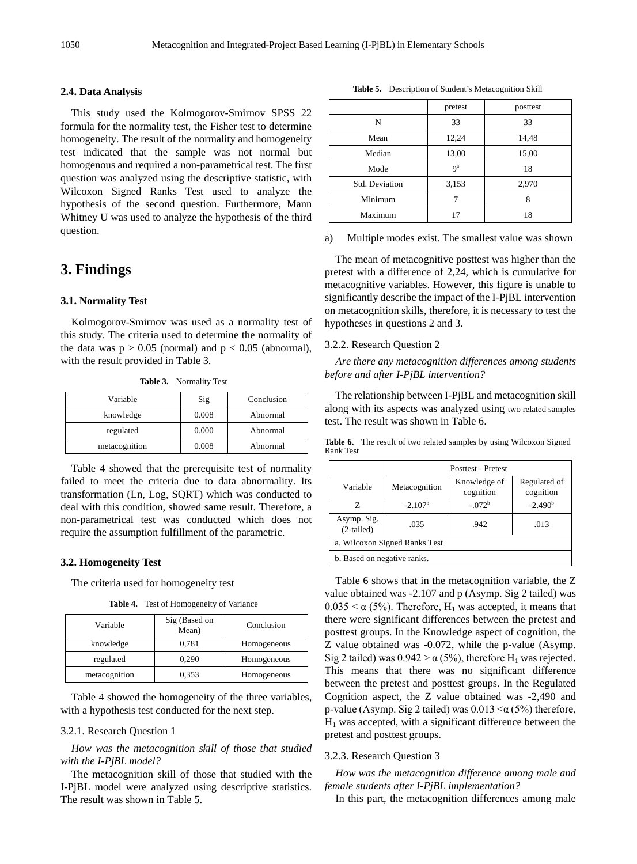#### **2.4. Data Analysis**

This study used the Kolmogorov-Smirnov SPSS 22 formula for the normality test, the Fisher test to determine homogeneity. The result of the normality and homogeneity test indicated that the sample was not normal but homogenous and required a non-parametrical test. The first question was analyzed using the descriptive statistic, with Wilcoxon Signed Ranks Test used to analyze the hypothesis of the second question. Furthermore, Mann Whitney U was used to analyze the hypothesis of the third question.

## **3. Findings**

#### **3.1. Normality Test**

Kolmogorov-Smirnov was used as a normality test of this study. The criteria used to determine the normality of the data was  $p > 0.05$  (normal) and  $p < 0.05$  (abnormal), with the result provided in Table 3.

| Variable      | Sig   | Conclusion |
|---------------|-------|------------|
| knowledge     | 0.008 | Abnormal   |
| regulated     | 0.000 | Abnormal   |
| metacognition | 0.008 | Abnormal   |

**Table 3.** Normality Test

Table 4 showed that the prerequisite test of normality failed to meet the criteria due to data abnormality. Its transformation (Ln, Log, SQRT) which was conducted to deal with this condition, showed same result. Therefore, a non-parametrical test was conducted which does not require the assumption fulfillment of the parametric.

#### **3.2. Homogeneity Test**

The criteria used for homogeneity test

**Table 4.** Test of Homogeneity of Variance

| Variable      | Sig (Based on<br>Mean) | Conclusion  |
|---------------|------------------------|-------------|
| knowledge     | 0,781                  | Homogeneous |
| regulated     | 0,290                  | Homogeneous |
| metacognition | 0.353                  | Homogeneous |

Table 4 showed the homogeneity of the three variables, with a hypothesis test conducted for the next step.

#### 3.2.1. Research Question 1

*How was the metacognition skill of those that studied with the I-PjBL model?*

The metacognition skill of those that studied with the I-PjBL model were analyzed using descriptive statistics. The result was shown in Table 5.

|                | pretest        | posttest |
|----------------|----------------|----------|
| N              | 33             | 33       |
| Mean           | 12,24          | 14,48    |
| Median         | 13,00          | 15,00    |
| Mode           | Q <sup>a</sup> | 18       |
| Std. Deviation | 3,153          | 2,970    |
| Minimum        |                | 8        |
| Maximum        | 17             | 18       |

**Table 5.** Description of Student's Metacognition Skill

a) Multiple modes exist. The smallest value was shown

The mean of metacognitive posttest was higher than the pretest with a difference of 2,24, which is cumulative for metacognitive variables. However, this figure is unable to significantly describe the impact of the I-PjBL intervention on metacognition skills, therefore, it is necessary to test the hypotheses in questions 2 and 3.

#### 3.2.2. Research Question 2

*Are there any metacognition differences among students before and after I-PjBL intervention?* 

The relationship between I-PjBL and metacognition skill along with its aspects was analyzed using two related samples test. The result was shown in Table 6.

|                               | <b>Posttest - Pretest</b> |                           |                           |
|-------------------------------|---------------------------|---------------------------|---------------------------|
| Variable                      | Metacognition             | Knowledge of<br>cognition | Regulated of<br>cognition |
| 7.                            | $-2.107^{\rm b}$          | $-.072b$                  | $-2.490b$                 |
| Asymp. Sig.<br>$(2-tailed)$   | .035                      | .942                      | .013                      |
| a. Wilcoxon Signed Ranks Test |                           |                           |                           |
| b. Based on negative ranks.   |                           |                           |                           |

Table 6. The result of two related samples by using Wilcoxon Signed Rank Test

Table 6 shows that in the metacognition variable, the Z value obtained was -2.107 and p (Asymp. Sig 2 tailed) was  $0.035 < \alpha$  (5%). Therefore, H<sub>1</sub> was accepted, it means that there were significant differences between the pretest and posttest groups. In the Knowledge aspect of cognition, the Z value obtained was -0.072, while the p-value (Asymp. Sig 2 tailed) was  $0.942 > \alpha$  (5%), therefore H<sub>1</sub> was rejected. This means that there was no significant difference between the pretest and posttest groups. In the Regulated Cognition aspect, the Z value obtained was -2,490 and p-value (Asymp. Sig 2 tailed) was  $0.013 \leq \alpha (5\%)$  therefore,  $H<sub>1</sub>$  was accepted, with a significant difference between the pretest and posttest groups.

#### 3.2.3. Research Question 3

*How was the metacognition difference among male and female students after I-PjBL implementation?* 

In this part, the metacognition differences among male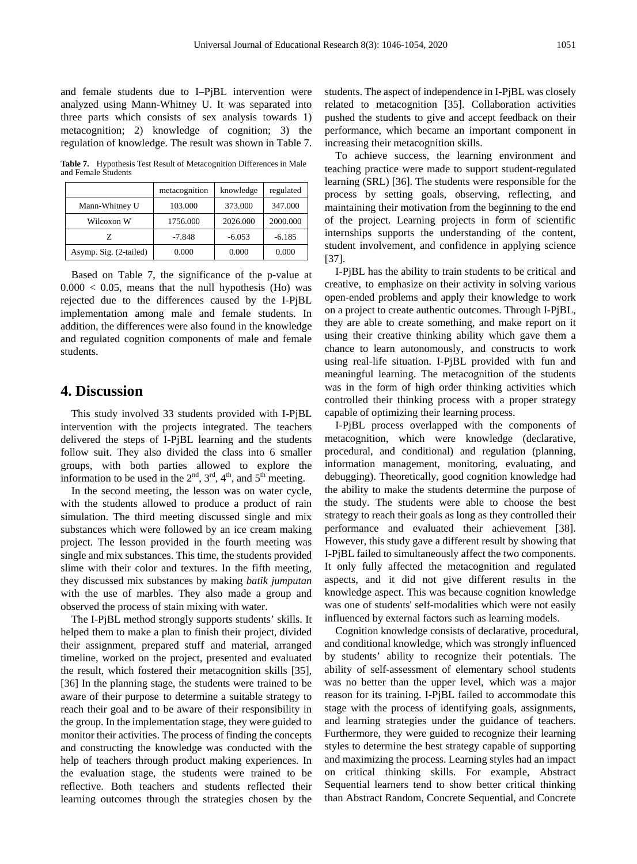and female students due to I–PjBL intervention were analyzed using Mann-Whitney U. It was separated into three parts which consists of sex analysis towards 1) metacognition; 2) knowledge of cognition; 3) the regulation of knowledge. The result was shown in Table 7.

**Table 7.** Hypothesis Test Result of Metacognition Differences in Male and Female Students

|                        | metacognition | knowledge | regulated |
|------------------------|---------------|-----------|-----------|
| Mann-Whitney U         | 103.000       | 373.000   | 347.000   |
| Wilcoxon W             | 1756.000      | 2026.000  | 2000.000  |
| 7.                     | $-7.848$      | $-6.053$  | $-6.185$  |
| Asymp. Sig. (2-tailed) | 0.000         | 0.000     | 0.000     |

Based on Table 7, the significance of the p-value at  $0.000 < 0.05$ , means that the null hypothesis (Ho) was rejected due to the differences caused by the I-PjBL implementation among male and female students. In addition, the differences were also found in the knowledge and regulated cognition components of male and female students.

## **4. Discussion**

This study involved 33 students provided with I-PjBL intervention with the projects integrated. The teachers delivered the steps of I-PjBL learning and the students follow suit. They also divided the class into 6 smaller groups, with both parties allowed to explore the information to be used in the  $2<sup>nd</sup>$ ,  $3<sup>rd</sup>$ ,  $4<sup>th</sup>$ , and  $5<sup>th</sup>$  meeting.

In the second meeting, the lesson was on water cycle, with the students allowed to produce a product of rain simulation. The third meeting discussed single and mix substances which were followed by an ice cream making project. The lesson provided in the fourth meeting was single and mix substances. This time, the students provided slime with their color and textures. In the fifth meeting, they discussed mix substances by making *batik jumputan* with the use of marbles. They also made a group and observed the process of stain mixing with water.

The I-PjBL method strongly supports students' skills. It helped them to make a plan to finish their project, divided their assignment, prepared stuff and material, arranged timeline, worked on the project, presented and evaluated the result, which fostered their metacognition skills [35], [36] In the planning stage, the students were trained to be aware of their purpose to determine a suitable strategy to reach their goal and to be aware of their responsibility in the group. In the implementation stage, they were guided to monitor their activities. The process of finding the concepts and constructing the knowledge was conducted with the help of teachers through product making experiences. In the evaluation stage, the students were trained to be reflective. Both teachers and students reflected their learning outcomes through the strategies chosen by the

students. The aspect of independence in I-PjBL was closely related to metacognition [35]. Collaboration activities pushed the students to give and accept feedback on their performance, which became an important component in increasing their metacognition skills.

To achieve success, the learning environment and teaching practice were made to support student-regulated learning (SRL) [36]. The students were responsible for the process by setting goals, observing, reflecting, and maintaining their motivation from the beginning to the end of the project. Learning projects in form of scientific internships supports the understanding of the content, student involvement, and confidence in applying science [37].

I-PjBL has the ability to train students to be critical and creative, to emphasize on their activity in solving various open-ended problems and apply their knowledge to work on a project to create authentic outcomes. Through I-PjBL, they are able to create something, and make report on it using their creative thinking ability which gave them a chance to learn autonomously, and constructs to work using real-life situation. I-PjBL provided with fun and meaningful learning. The metacognition of the students was in the form of high order thinking activities which controlled their thinking process with a proper strategy capable of optimizing their learning process.

I-PjBL process overlapped with the components of metacognition, which were knowledge (declarative, procedural, and conditional) and regulation (planning, information management, monitoring, evaluating, and debugging). Theoretically, good cognition knowledge had the ability to make the students determine the purpose of the study. The students were able to choose the best strategy to reach their goals as long as they controlled their performance and evaluated their achievement [38]. However, this study gave a different result by showing that I-PjBL failed to simultaneously affect the two components. It only fully affected the metacognition and regulated aspects, and it did not give different results in the knowledge aspect. This was because cognition knowledge was one of students' self-modalities which were not easily influenced by external factors such as learning models.

Cognition knowledge consists of declarative, procedural, and conditional knowledge, which was strongly influenced by students' ability to recognize their potentials. The ability of self-assessment of elementary school students was no better than the upper level, which was a major reason for its training. I-PjBL failed to accommodate this stage with the process of identifying goals, assignments, and learning strategies under the guidance of teachers. Furthermore, they were guided to recognize their learning styles to determine the best strategy capable of supporting and maximizing the process. Learning styles had an impact on critical thinking skills. For example, Abstract Sequential learners tend to show better critical thinking than Abstract Random, Concrete Sequential, and Concrete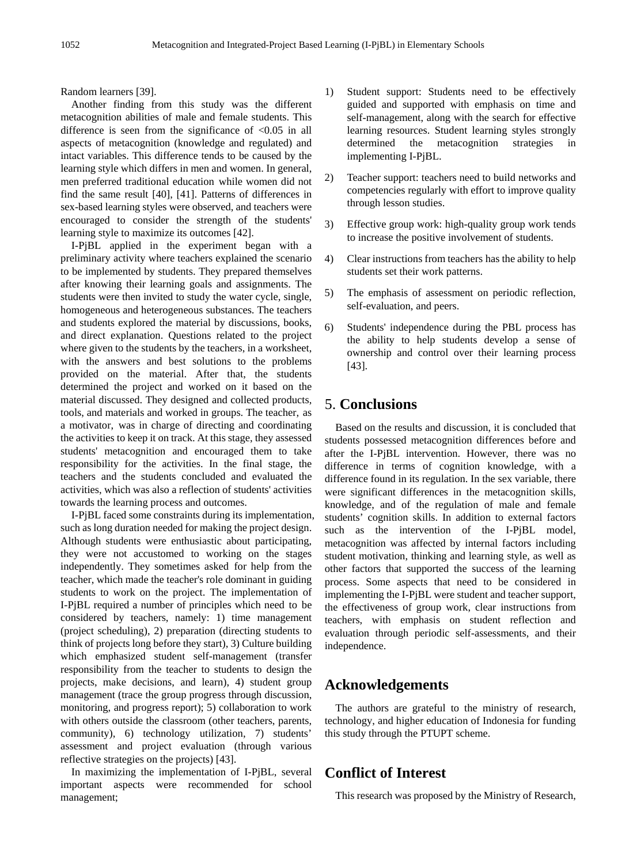Random learners [39].

Another finding from this study was the different metacognition abilities of male and female students. This difference is seen from the significance of  $\langle 0.05 \rangle$  in all aspects of metacognition (knowledge and regulated) and intact variables. This difference tends to be caused by the learning style which differs in men and women. In general, men preferred traditional education while women did not find the same result [40], [41]. Patterns of differences in sex-based learning styles were observed, and teachers were encouraged to consider the strength of the students' learning style to maximize its outcomes [42].

I-PjBL applied in the experiment began with a preliminary activity where teachers explained the scenario to be implemented by students. They prepared themselves after knowing their learning goals and assignments. The students were then invited to study the water cycle, single, homogeneous and heterogeneous substances. The teachers and students explored the material by discussions, books, and direct explanation. Questions related to the project where given to the students by the teachers, in a worksheet, with the answers and best solutions to the problems provided on the material. After that, the students determined the project and worked on it based on the material discussed. They designed and collected products, tools, and materials and worked in groups. The teacher, as a motivator, was in charge of directing and coordinating the activities to keep it on track. At this stage, they assessed students' metacognition and encouraged them to take responsibility for the activities. In the final stage, the teachers and the students concluded and evaluated the activities, which was also a reflection of students' activities towards the learning process and outcomes.

I-PjBL faced some constraints during its implementation, such as long duration needed for making the project design. Although students were enthusiastic about participating, they were not accustomed to working on the stages independently. They sometimes asked for help from the teacher, which made the teacher's role dominant in guiding students to work on the project. The implementation of I-PjBL required a number of principles which need to be considered by teachers, namely: 1) time management (project scheduling), 2) preparation (directing students to think of projects long before they start), 3) Culture building which emphasized student self-management (transfer responsibility from the teacher to students to design the projects, make decisions, and learn), 4) student group management (trace the group progress through discussion, monitoring, and progress report); 5) collaboration to work with others outside the classroom (other teachers, parents, community), 6) technology utilization, 7) students' assessment and project evaluation (through various reflective strategies on the projects) [43].

In maximizing the implementation of I-PjBL, several important aspects were recommended for school management;

- 1) Student support: Students need to be effectively guided and supported with emphasis on time and self-management, along with the search for effective learning resources. Student learning styles strongly determined the metacognition strategies in implementing I-PjBL.
- 2) Teacher support: teachers need to build networks and competencies regularly with effort to improve quality through lesson studies.
- 3) Effective group work: high-quality group work tends to increase the positive involvement of students.
- 4) Clear instructions from teachers has the ability to help students set their work patterns.
- 5) The emphasis of assessment on periodic reflection, self-evaluation, and peers.
- 6) Students' independence during the PBL process has the ability to help students develop a sense of ownership and control over their learning process [43].

# 5. **Conclusions**

Based on the results and discussion, it is concluded that students possessed metacognition differences before and after the I-PjBL intervention. However, there was no difference in terms of cognition knowledge, with a difference found in its regulation. In the sex variable, there were significant differences in the metacognition skills, knowledge, and of the regulation of male and female students' cognition skills. In addition to external factors such as the intervention of the I-PjBL model, metacognition was affected by internal factors including student motivation, thinking and learning style, as well as other factors that supported the success of the learning process. Some aspects that need to be considered in implementing the I-PjBL were student and teacher support, the effectiveness of group work, clear instructions from teachers, with emphasis on student reflection and evaluation through periodic self-assessments, and their independence.

## **Acknowledgements**

The authors are grateful to the ministry of research, technology, and higher education of Indonesia for funding this study through the PTUPT scheme.

## **Conflict of Interest**

This research was proposed by the Ministry of Research,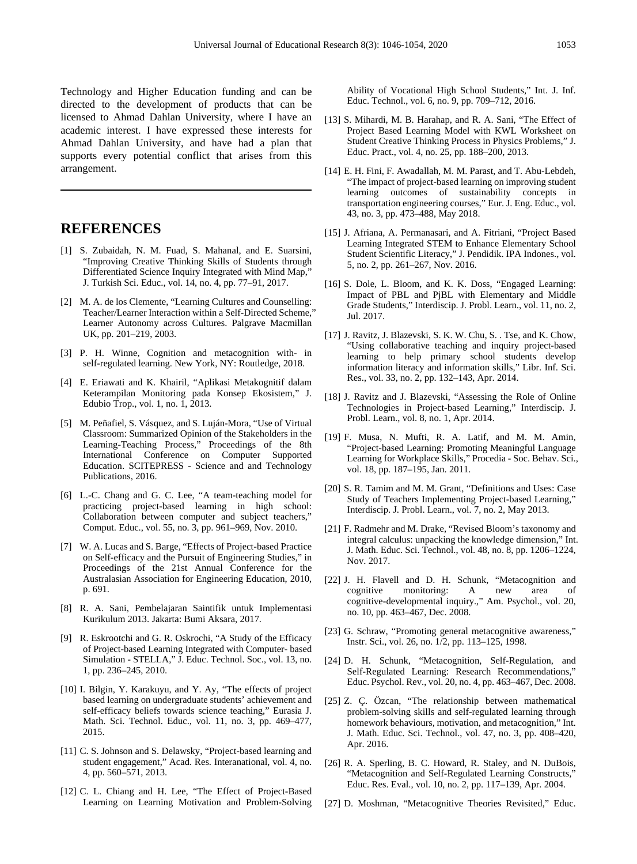Technology and Higher Education funding and can be directed to the development of products that can be licensed to Ahmad Dahlan University, where I have an academic interest. I have expressed these interests for Ahmad Dahlan University, and have had a plan that supports every potential conflict that arises from this arrangement.

## **REFERENCES**

- [1] S. Zubaidah, N. M. Fuad, S. Mahanal, and E. Suarsini, "Improving Creative Thinking Skills of Students through Differentiated Science Inquiry Integrated with Mind Map," J. Turkish Sci. Educ., vol. 14, no. 4, pp. 77–91, 2017.
- [2] M. A. de los Clemente, "Learning Cultures and Counselling: Teacher/Learner Interaction within a Self-Directed Scheme," Learner Autonomy across Cultures. Palgrave Macmillan UK, pp. 201–219, 2003.
- [3] P. H. Winne, Cognition and metacognition with- in self-regulated learning. New York, NY: Routledge, 2018.
- [4] E. Eriawati and K. Khairil, "Aplikasi Metakognitif dalam Keterampilan Monitoring pada Konsep Ekosistem," J. Edubio Trop., vol. 1, no. 1, 2013.
- [5] M. Peñafiel, S. Vásquez, and S. Luján-Mora, "Use of Virtual Classroom: Summarized Opinion of the Stakeholders in the Learning-Teaching Process," Proceedings of the 8th International Conference on Computer Supported Education. SCITEPRESS - Science and and Technology Publications, 2016.
- [6] L.-C. Chang and G. C. Lee, "A team-teaching model for practicing project-based learning in high school: Collaboration between computer and subject teachers," Comput. Educ., vol. 55, no. 3, pp. 961–969, Nov. 2010.
- [7] W. A. Lucas and S. Barge, "Effects of Project-based Practice on Self-efficacy and the Pursuit of Engineering Studies," in Proceedings of the 21st Annual Conference for the Australasian Association for Engineering Education, 2010, p. 691.
- [8] R. A. Sani, Pembelajaran Saintifik untuk Implementasi Kurikulum 2013. Jakarta: Bumi Aksara, 2017.
- [9] R. Eskrootchi and G. R. Oskrochi, "A Study of the Efficacy of Project-based Learning Integrated with Computer- based Simulation - STELLA," J. Educ. Technol. Soc., vol. 13, no. 1, pp. 236–245, 2010.
- [10] I. Bilgin, Y. Karakuyu, and Y. Ay, "The effects of project based learning on undergraduate students' achievement and self-efficacy beliefs towards science teaching," Eurasia J. Math. Sci. Technol. Educ., vol. 11, no. 3, pp. 469–477, 2015.
- [11] C. S. Johnson and S. Delawsky, "Project-based learning and student engagement," Acad. Res. Interanational, vol. 4, no. 4, pp. 560–571, 2013.
- [12] C. L. Chiang and H. Lee, "The Effect of Project-Based Learning on Learning Motivation and Problem-Solving

Ability of Vocational High School Students," Int. J. Inf. Educ. Technol., vol. 6, no. 9, pp. 709–712, 2016.

- [13] S. Mihardi, M. B. Harahap, and R. A. Sani, "The Effect of Project Based Learning Model with KWL Worksheet on Student Creative Thinking Process in Physics Problems," J. Educ. Pract., vol. 4, no. 25, pp. 188–200, 2013.
- [14] E. H. Fini, F. Awadallah, M. M. Parast, and T. Abu-Lebdeh, "The impact of project-based learning on improving student learning outcomes of sustainability concepts in transportation engineering courses," Eur. J. Eng. Educ., vol. 43, no. 3, pp. 473–488, May 2018.
- [15] J. Afriana, A. Permanasari, and A. Fitriani, "Project Based Learning Integrated STEM to Enhance Elementary School Student Scientific Literacy," J. Pendidik. IPA Indones., vol. 5, no. 2, pp. 261–267, Nov. 2016.
- [16] S. Dole, L. Bloom, and K. K. Doss, "Engaged Learning: Impact of PBL and PjBL with Elementary and Middle Grade Students," Interdiscip. J. Probl. Learn., vol. 11, no. 2, Jul. 2017.
- [17] J. Ravitz, J. Blazevski, S. K. W. Chu, S. . Tse, and K. Chow, "Using collaborative teaching and inquiry project-based learning to help primary school students develop information literacy and information skills," Libr. Inf. Sci. Res., vol. 33, no. 2, pp. 132–143, Apr. 2014.
- [18] J. Ravitz and J. Blazevski, "Assessing the Role of Online Technologies in Project-based Learning," Interdiscip. J. Probl. Learn., vol. 8, no. 1, Apr. 2014.
- [19] F. Musa, N. Mufti, R. A. Latif, and M. M. Amin, "Project-based Learning: Promoting Meaningful Language Learning for Workplace Skills," Procedia - Soc. Behav. Sci., vol. 18, pp. 187–195, Jan. 2011.
- [20] S. R. Tamim and M. M. Grant, "Definitions and Uses: Case Study of Teachers Implementing Project-based Learning," Interdiscip. J. Probl. Learn., vol. 7, no. 2, May 2013.
- [21] F. Radmehr and M. Drake, "Revised Bloom's taxonomy and integral calculus: unpacking the knowledge dimension," Int. J. Math. Educ. Sci. Technol., vol. 48, no. 8, pp. 1206–1224, Nov. 2017.
- [22] J. H. Flavell and D. H. Schunk, "Metacognition and cognitive monitoring: A new area of cognitive-developmental inquiry.," Am. Psychol., vol. 20, no. 10, pp. 463–467, Dec. 2008.
- [23] G. Schraw, "Promoting general metacognitive awareness," Instr. Sci., vol. 26, no. 1/2, pp. 113–125, 1998.
- [24] D. H. Schunk, "Metacognition, Self-Regulation, and Self-Regulated Learning: Research Recommendations," Educ. Psychol. Rev., vol. 20, no. 4, pp. 463–467, Dec. 2008.
- [25] Z. Ç. Özcan, "The relationship between mathematical problem-solving skills and self-regulated learning through homework behaviours, motivation, and metacognition," Int. J. Math. Educ. Sci. Technol., vol. 47, no. 3, pp. 408–420, Apr. 2016.
- [26] R. A. Sperling, B. C. Howard, R. Staley, and N. DuBois, "Metacognition and Self-Regulated Learning Constructs," Educ. Res. Eval., vol. 10, no. 2, pp. 117–139, Apr. 2004.
- [27] D. Moshman, "Metacognitive Theories Revisited," Educ.